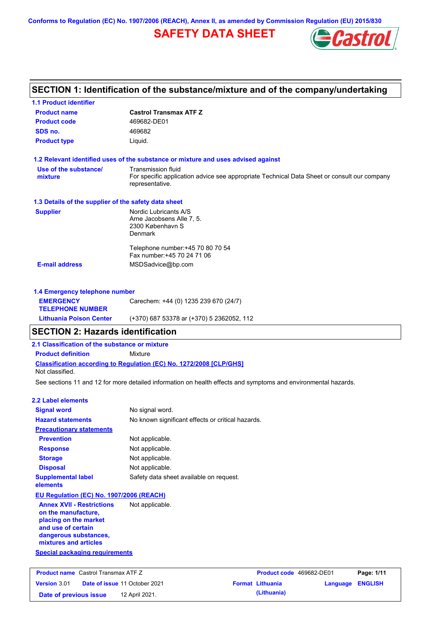**Conforms to Regulation (EC) No. 1907/2006 (REACH), Annex II, as amended by Commission Regulation (EU) 2015/830**

# **SAFETY DATA SHEET**



# **SECTION 1: Identification of the substance/mixture and of the company/undertaking**

| 1.1 Product identifier                                                                                                                                   |                                                                                                                                             |
|----------------------------------------------------------------------------------------------------------------------------------------------------------|---------------------------------------------------------------------------------------------------------------------------------------------|
| <b>Product name</b>                                                                                                                                      | <b>Castrol Transmax ATF Z</b>                                                                                                               |
| <b>Product code</b>                                                                                                                                      | 469682-DE01                                                                                                                                 |
| SDS no.                                                                                                                                                  | 469682                                                                                                                                      |
| <b>Product type</b>                                                                                                                                      | Liquid.                                                                                                                                     |
|                                                                                                                                                          | 1.2 Relevant identified uses of the substance or mixture and uses advised against                                                           |
| Use of the substance/<br>mixture                                                                                                                         | <b>Transmission fluid</b><br>For specific application advice see appropriate Technical Data Sheet or consult our company<br>representative. |
| 1.3 Details of the supplier of the safety data sheet                                                                                                     |                                                                                                                                             |
| <b>Supplier</b>                                                                                                                                          | Nordic Lubricants A/S                                                                                                                       |
|                                                                                                                                                          | Arne Jacobsens Alle 7, 5.<br>2300 København S<br>Denmark                                                                                    |
|                                                                                                                                                          | Telephone number: +45 70 80 70 54<br>Fax number: +45 70 24 71 06                                                                            |
| <b>E-mail address</b>                                                                                                                                    | MSDSadvice@bp.com                                                                                                                           |
|                                                                                                                                                          |                                                                                                                                             |
| 1.4 Emergency telephone number<br><b>EMERGENCY</b>                                                                                                       | Carechem: +44 (0) 1235 239 670 (24/7)                                                                                                       |
| <b>TELEPHONE NUMBER</b>                                                                                                                                  |                                                                                                                                             |
| <b>Lithuania Poison Center</b>                                                                                                                           | (+370) 687 53378 ar (+370) 5 2362052, 112                                                                                                   |
| <b>SECTION 2: Hazards identification</b>                                                                                                                 |                                                                                                                                             |
| 2.1 Classification of the substance or mixture                                                                                                           |                                                                                                                                             |
| <b>Product definition</b>                                                                                                                                | Mixture                                                                                                                                     |
| Not classified.                                                                                                                                          | Classification according to Regulation (EC) No. 1272/2008 [CLP/GHS]                                                                         |
|                                                                                                                                                          | See sections 11 and 12 for more detailed information on health effects and symptoms and environmental hazards.                              |
| 2.2 Label elements                                                                                                                                       |                                                                                                                                             |
| <b>Signal word</b>                                                                                                                                       | No signal word.                                                                                                                             |
| <b>Hazard statements</b>                                                                                                                                 | No known significant effects or critical hazards.                                                                                           |
| <b>Precautionary statements</b>                                                                                                                          |                                                                                                                                             |
| <b>Prevention</b>                                                                                                                                        | Not applicable.                                                                                                                             |
| <b>Response</b>                                                                                                                                          | Not applicable.                                                                                                                             |
| <b>Storage</b>                                                                                                                                           | Not applicable.                                                                                                                             |
| <b>Disposal</b>                                                                                                                                          | Not applicable.                                                                                                                             |
| <b>Supplemental label</b><br>elements                                                                                                                    | Safety data sheet available on request.                                                                                                     |
| EU Regulation (EC) No. 1907/2006 (REACH)                                                                                                                 |                                                                                                                                             |
| <b>Annex XVII - Restrictions</b><br>on the manufacture,<br>placing on the market<br>and use of certain<br>dangerous substances,<br>mixtures and articles | Not applicable.                                                                                                                             |
| <b>Special packaging requirements</b>                                                                                                                    |                                                                                                                                             |
|                                                                                                                                                          |                                                                                                                                             |

| <b>Product name</b> Castrol Transmax ATF Z |  |                                      | <b>Product code</b> 469682-DE01 |                         | Page: 1/11              |  |
|--------------------------------------------|--|--------------------------------------|---------------------------------|-------------------------|-------------------------|--|
| <b>Version</b> 3.01                        |  | <b>Date of issue 11 October 2021</b> |                                 | <b>Format Lithuania</b> | <b>Language ENGLISH</b> |  |
| Date of previous issue                     |  | 12 April 2021.                       |                                 | (Lithuania)             |                         |  |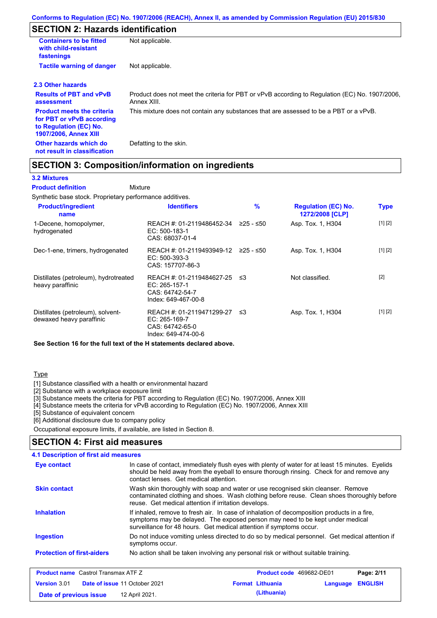# **SECTION 2: Hazards identification**

| <b>Containers to be fitted</b><br>with child-resistant<br>fastenings                                                     | Not applicable.                                                                                               |
|--------------------------------------------------------------------------------------------------------------------------|---------------------------------------------------------------------------------------------------------------|
| <b>Tactile warning of danger</b>                                                                                         | Not applicable.                                                                                               |
| 2.3 Other hazards                                                                                                        |                                                                                                               |
| <b>Results of PBT and vPvB</b><br>assessment                                                                             | Product does not meet the criteria for PBT or vPvB according to Regulation (EC) No. 1907/2006,<br>Annex XIII. |
| <b>Product meets the criteria</b><br>for PBT or vPvB according<br>to Regulation (EC) No.<br><b>1907/2006, Annex XIII</b> | This mixture does not contain any substances that are assessed to be a PBT or a vPvB.                         |
| Other hazards which do<br>not result in classification                                                                   | Defatting to the skin.                                                                                        |

### **SECTION 3: Composition/information on ingredients**

Mixture

#### **3.2 Mixtures**

**Product definition**

Synthetic base stock. Proprietary performance additives.

| <b>Product/ingredient</b><br>name                             | <b>Identifiers</b>                                                                   | %         | <b>Regulation (EC) No.</b><br>1272/2008 [CLP] | <b>Type</b> |
|---------------------------------------------------------------|--------------------------------------------------------------------------------------|-----------|-----------------------------------------------|-------------|
| 1-Decene, homopolymer,<br>hydrogenated                        | REACH #: 01-2119486452-34<br>EC: 500-183-1<br>CAS: 68037-01-4                        | ≥25 - ≤50 | Asp. Tox. 1, H304                             | [1] [2]     |
| Dec-1-ene, trimers, hydrogenated                              | REACH #: 01-2119493949-12 ≥25 - ≤50<br>$EC: 500-393-3$<br>CAS: 157707-86-3           |           | Asp. Tox. 1, H304                             | [1] [2]     |
| Distillates (petroleum), hydrotreated<br>heavy paraffinic     | REACH #: 01-2119484627-25<br>EC: 265-157-1<br>CAS: 64742-54-7<br>Index: 649-467-00-8 | - ≤3      | Not classified.                               | $[2]$       |
| Distillates (petroleum), solvent-<br>dewaxed heavy paraffinic | REACH #: 01-2119471299-27<br>EC: 265-169-7<br>CAS: 64742-65-0<br>Index: 649-474-00-6 | -≤3       | Asp. Tox. 1, H304                             | [1] [2]     |

**See Section 16 for the full text of the H statements declared above.**

#### Type

[1] Substance classified with a health or environmental hazard

[2] Substance with a workplace exposure limit

[3] Substance meets the criteria for PBT according to Regulation (EC) No. 1907/2006, Annex XIII

[4] Substance meets the criteria for vPvB according to Regulation (EC) No. 1907/2006, Annex XIII

[5] Substance of equivalent concern

[6] Additional disclosure due to company policy

Occupational exposure limits, if available, are listed in Section 8.

#### **SECTION 4: First aid measures**

#### Do not induce vomiting unless directed to do so by medical personnel. Get medical attention if symptoms occur. In case of contact, immediately flush eyes with plenty of water for at least 15 minutes. Eyelids should be held away from the eyeball to ensure thorough rinsing. Check for and remove any contact lenses. Get medical attention. **4.1 Description of first aid measures** If inhaled, remove to fresh air. In case of inhalation of decomposition products in a fire, symptoms may be delayed. The exposed person may need to be kept under medical surveillance for 48 hours. Get medical attention if symptoms occur. **Ingestion Inhalation Eye contact Protection of first-aiders** No action shall be taken involving any personal risk or without suitable training. **Skin contact** Wash skin thoroughly with soap and water or use recognised skin cleanser. Remove contaminated clothing and shoes. Wash clothing before reuse. Clean shoes thoroughly before reuse. Get medical attention if irritation develops.

| <b>Product name</b> Castrol Transmax ATF Z |                                      | <b>Product code</b> 469682-DE01 |                  | Page: 2/11 |
|--------------------------------------------|--------------------------------------|---------------------------------|------------------|------------|
| <b>Version</b> 3.01                        | <b>Date of issue 11 October 2021</b> | <b>Format Lithuania</b>         | Language ENGLISH |            |
| Date of previous issue                     | 12 April 2021.                       | (Lithuania)                     |                  |            |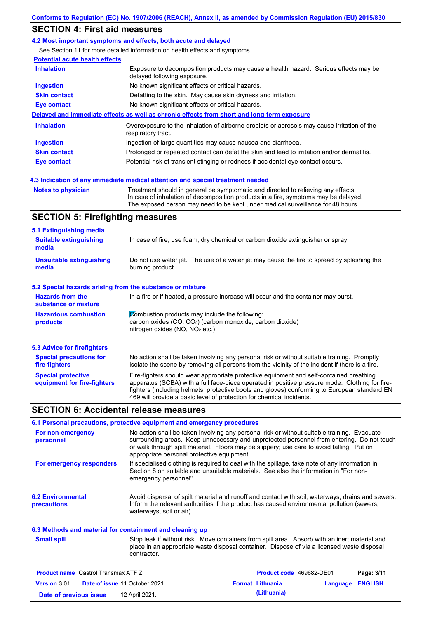# **SECTION 4: First aid measures**

#### **4.2 Most important symptoms and effects, both acute and delayed**

See Section 11 for more detailed information on health effects and symptoms.

### **Potential acute health effects**

| <b>Inhalation</b>   | Exposure to decomposition products may cause a health hazard. Serious effects may be<br>delayed following exposure. |
|---------------------|---------------------------------------------------------------------------------------------------------------------|
| <b>Ingestion</b>    | No known significant effects or critical hazards.                                                                   |
| <b>Skin contact</b> | Defatting to the skin. May cause skin dryness and irritation.                                                       |
| Eye contact         | No known significant effects or critical hazards.                                                                   |
|                     | Delayed and immediate effects as well as chronic effects from short and long-term exposure                          |
| <b>Inhalation</b>   | Overexposure to the inhalation of airborne droplets or aerosols may cause irritation of the<br>respiratory tract.   |
| <b>Ingestion</b>    | Ingestion of large quantities may cause nausea and diarrhoea.                                                       |
| <b>Skin contact</b> | Prolonged or repeated contact can defat the skin and lead to irritation and/or dermatitis.                          |
| Eye contact         | Potential risk of transient stinging or redness if accidental eye contact occurs.                                   |
|                     | 4.3 Indication of any immediate medical attention and special treatment needed                                      |

**Notes to physician** Treatment should in general be symptomatic and directed to relieving any effects. In case of inhalation of decomposition products in a fire, symptoms may be delayed. The exposed person may need to be kept under medical surveillance for 48 hours.

# **SECTION 5: Firefighting measures**

| 5.1 Extinguishing media                                   |                                                                                                                                                                                                                                                                                                                                                                   |
|-----------------------------------------------------------|-------------------------------------------------------------------------------------------------------------------------------------------------------------------------------------------------------------------------------------------------------------------------------------------------------------------------------------------------------------------|
| <b>Suitable extinguishing</b><br>media                    | In case of fire, use foam, dry chemical or carbon dioxide extinguisher or spray.                                                                                                                                                                                                                                                                                  |
| <b>Unsuitable extinguishing</b><br>media                  | Do not use water jet. The use of a water jet may cause the fire to spread by splashing the<br>burning product.                                                                                                                                                                                                                                                    |
| 5.2 Special hazards arising from the substance or mixture |                                                                                                                                                                                                                                                                                                                                                                   |
| <b>Hazards from the</b><br>substance or mixture           | In a fire or if heated, a pressure increase will occur and the container may burst.                                                                                                                                                                                                                                                                               |
| <b>Hazardous combustion</b><br>products                   | Combustion products may include the following:<br>carbon oxides (CO, CO <sub>2</sub> ) (carbon monoxide, carbon dioxide)<br>nitrogen oxides ( $NO$ , $NO2$ etc.)                                                                                                                                                                                                  |
| 5.3 Advice for firefighters                               |                                                                                                                                                                                                                                                                                                                                                                   |
| <b>Special precautions for</b><br>fire-fighters           | No action shall be taken involving any personal risk or without suitable training. Promptly<br>isolate the scene by removing all persons from the vicinity of the incident if there is a fire.                                                                                                                                                                    |
| <b>Special protective</b><br>equipment for fire-fighters  | Fire-fighters should wear appropriate protective equipment and self-contained breathing<br>apparatus (SCBA) with a full face-piece operated in positive pressure mode. Clothing for fire-<br>fighters (including helmets, protective boots and gloves) conforming to European standard EN<br>469 will provide a basic level of protection for chemical incidents. |

### **SECTION 6: Accidental release measures**

|                                         | 6.1 Personal precautions, protective equipment and emergency procedures                                                                                                                                                                                                                                                             |
|-----------------------------------------|-------------------------------------------------------------------------------------------------------------------------------------------------------------------------------------------------------------------------------------------------------------------------------------------------------------------------------------|
| For non-emergency<br>personnel          | No action shall be taken involving any personal risk or without suitable training. Evacuate<br>surrounding areas. Keep unnecessary and unprotected personnel from entering. Do not touch<br>or walk through spilt material. Floors may be slippery; use care to avoid falling. Put on<br>appropriate personal protective equipment. |
| For emergency responders                | If specialised clothing is required to deal with the spillage, take note of any information in<br>Section 8 on suitable and unsuitable materials. See also the information in "For non-<br>emergency personnel".                                                                                                                    |
| <b>6.2 Environmental</b><br>precautions | Avoid dispersal of spilt material and runoff and contact with soil, waterways, drains and sewers.<br>Inform the relevant authorities if the product has caused environmental pollution (sewers,<br>waterways, soil or air).                                                                                                         |

#### **6.3 Methods and material for containment and cleaning up**

**Small spill**

Stop leak if without risk. Move containers from spill area. Absorb with an inert material and place in an appropriate waste disposal container. Dispose of via a licensed waste disposal contractor.

| <b>Product name</b> Castrol Transmax ATF Z |  |                                      | <b>Product code</b> 469682-DE01 |                         | Page: 3/11              |  |
|--------------------------------------------|--|--------------------------------------|---------------------------------|-------------------------|-------------------------|--|
| <b>Version 3.01</b>                        |  | <b>Date of issue 11 October 2021</b> |                                 | <b>Format Lithuania</b> | <b>Language ENGLISH</b> |  |
| Date of previous issue                     |  | 12 April 2021.                       |                                 | (Lithuania)             |                         |  |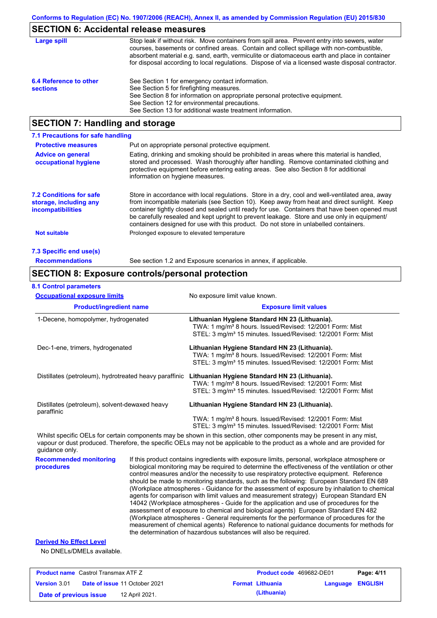# **SECTION 6: Accidental release measures**

| Large spill                               | Stop leak if without risk. Move containers from spill area. Prevent entry into sewers, water<br>courses, basements or confined areas. Contain and collect spillage with non-combustible,<br>absorbent material e.g. sand, earth, vermiculite or diatomaceous earth and place in container<br>for disposal according to local regulations. Dispose of via a licensed waste disposal contractor. |
|-------------------------------------------|------------------------------------------------------------------------------------------------------------------------------------------------------------------------------------------------------------------------------------------------------------------------------------------------------------------------------------------------------------------------------------------------|
| 6.4 Reference to other<br><b>sections</b> | See Section 1 for emergency contact information.<br>See Section 5 for firefighting measures.<br>See Section 8 for information on appropriate personal protective equipment.<br>See Section 12 for environmental precautions.<br>See Section 13 for additional waste treatment information.                                                                                                     |

# **SECTION 7: Handling and storage**

| 7.1 Precautions for safe handling                                                    |                                                                                                                                                                                                                                                                                                                                                                                                                                                                                          |
|--------------------------------------------------------------------------------------|------------------------------------------------------------------------------------------------------------------------------------------------------------------------------------------------------------------------------------------------------------------------------------------------------------------------------------------------------------------------------------------------------------------------------------------------------------------------------------------|
| <b>Protective measures</b>                                                           | Put on appropriate personal protective equipment.                                                                                                                                                                                                                                                                                                                                                                                                                                        |
| <b>Advice on general</b><br>occupational hygiene                                     | Eating, drinking and smoking should be prohibited in areas where this material is handled.<br>stored and processed. Wash thoroughly after handling. Remove contaminated clothing and<br>protective equipment before entering eating areas. See also Section 8 for additional<br>information on hygiene measures.                                                                                                                                                                         |
| <b>7.2 Conditions for safe</b><br>storage, including any<br><i>incompatibilities</i> | Store in accordance with local requiations. Store in a dry, cool and well-ventilated area, away<br>from incompatible materials (see Section 10). Keep away from heat and direct sunlight. Keep<br>container tightly closed and sealed until ready for use. Containers that have been opened must<br>be carefully resealed and kept upright to prevent leakage. Store and use only in equipment/<br>containers designed for use with this product. Do not store in unlabelled containers. |
| Not suitable                                                                         | Prolonged exposure to elevated temperature                                                                                                                                                                                                                                                                                                                                                                                                                                               |
| 7.3 Specific end use(s)                                                              |                                                                                                                                                                                                                                                                                                                                                                                                                                                                                          |
| <b>Recommendations</b>                                                               | See section 1.2 and Exposure scenarios in annex, if applicable.                                                                                                                                                                                                                                                                                                                                                                                                                          |

# **SECTION 8: Exposure controls/personal protection**

| <b>8.1 Control parameters</b> |  |
|-------------------------------|--|
|-------------------------------|--|

| <b>Occupational exposure limits</b>                    | No exposure limit value known.                                                                                                                                                                     |
|--------------------------------------------------------|----------------------------------------------------------------------------------------------------------------------------------------------------------------------------------------------------|
| <b>Product/ingredient name</b>                         | <b>Exposure limit values</b>                                                                                                                                                                       |
| 1-Decene, homopolymer, hydrogenated                    | Lithuanian Hygiene Standard HN 23 (Lithuania).<br>TWA: 1 mg/m <sup>3</sup> 8 hours. Issued/Revised: 12/2001 Form: Mist<br>STEL: 3 mg/m <sup>3</sup> 15 minutes. Issued/Revised: 12/2001 Form: Mist |
| Dec-1-ene, trimers, hydrogenated                       | Lithuanian Hygiene Standard HN 23 (Lithuania).<br>TWA: 1 mg/m <sup>3</sup> 8 hours. Issued/Revised: 12/2001 Form: Mist<br>STEL: 3 mg/m <sup>3</sup> 15 minutes. Issued/Revised: 12/2001 Form: Mist |
| Distillates (petroleum), hydrotreated heavy paraffinic | Lithuanian Hygiene Standard HN 23 (Lithuania).<br>TWA: 1 mg/m <sup>3</sup> 8 hours. Issued/Revised: 12/2001 Form: Mist<br>STEL: 3 mg/m <sup>3</sup> 15 minutes. Issued/Revised: 12/2001 Form: Mist |
| Distillates (petroleum), solvent-dewaxed heavy         | Lithuanian Hygiene Standard HN 23 (Lithuania).                                                                                                                                                     |
| paraffinic                                             | TWA: 1 mg/m <sup>3</sup> 8 hours. Issued/Revised: 12/2001 Form: Mist<br>STEL: 3 mg/m <sup>3</sup> 15 minutes. Issued/Revised: 12/2001 Form: Mist                                                   |
|                                                        |                                                                                                                                                                                                    |

Whilst specific OELs for certain components may be shown in this section, other components may be present in any mist, vapour or dust produced. Therefore, the specific OELs may not be applicable to the product as a whole and are provided for guidance only.

**Recommended monitoring procedures** If this product contains ingredients with exposure limits, personal, workplace atmosphere or biological monitoring may be required to determine the effectiveness of the ventilation or other control measures and/or the necessity to use respiratory protective equipment. Reference should be made to monitoring standards, such as the following: European Standard EN 689 (Workplace atmospheres - Guidance for the assessment of exposure by inhalation to chemical agents for comparison with limit values and measurement strategy) European Standard EN 14042 (Workplace atmospheres - Guide for the application and use of procedures for the assessment of exposure to chemical and biological agents) European Standard EN 482 (Workplace atmospheres - General requirements for the performance of procedures for the measurement of chemical agents) Reference to national guidance documents for methods for the determination of hazardous substances will also be required.

#### **Derived No Effect Level**

No DNELs/DMELs available.

| <b>Product name</b> Castrol Transmax ATF Z |                                      | <b>Product code</b> 469682-DE01 |                         | Page: 4/11 |
|--------------------------------------------|--------------------------------------|---------------------------------|-------------------------|------------|
| <b>Version</b> 3.01                        | <b>Date of issue 11 October 2021</b> | <b>Format Lithuania</b>         | <b>Language ENGLISH</b> |            |
| Date of previous issue                     | 12 April 2021.                       | (Lithuania)                     |                         |            |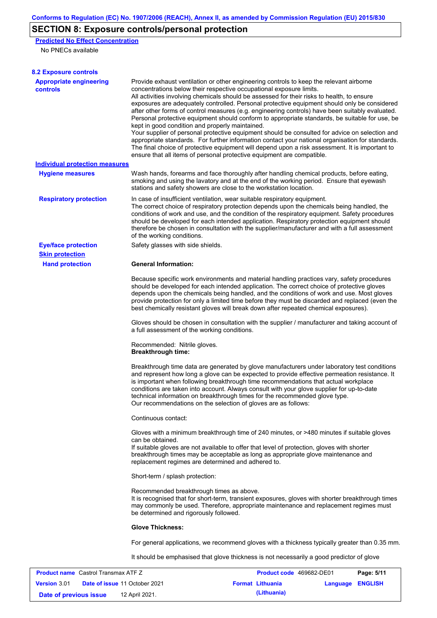# **SECTION 8: Exposure controls/personal protection**

**Predicted No Effect Concentration**

No PNECs available

| <b>8.2 Exposure controls</b>                         |                                                                                                                                                                                                                                                                                                                                                                                                                                                                                                                                                                                                                                                                                                                                                                                                                                                                                                                                                                                                         |                          |          |                |
|------------------------------------------------------|---------------------------------------------------------------------------------------------------------------------------------------------------------------------------------------------------------------------------------------------------------------------------------------------------------------------------------------------------------------------------------------------------------------------------------------------------------------------------------------------------------------------------------------------------------------------------------------------------------------------------------------------------------------------------------------------------------------------------------------------------------------------------------------------------------------------------------------------------------------------------------------------------------------------------------------------------------------------------------------------------------|--------------------------|----------|----------------|
| <b>Appropriate engineering</b><br><b>controls</b>    | Provide exhaust ventilation or other engineering controls to keep the relevant airborne<br>concentrations below their respective occupational exposure limits.<br>All activities involving chemicals should be assessed for their risks to health, to ensure<br>exposures are adequately controlled. Personal protective equipment should only be considered<br>after other forms of control measures (e.g. engineering controls) have been suitably evaluated.<br>Personal protective equipment should conform to appropriate standards, be suitable for use, be<br>kept in good condition and properly maintained.<br>Your supplier of personal protective equipment should be consulted for advice on selection and<br>appropriate standards. For further information contact your national organisation for standards.<br>The final choice of protective equipment will depend upon a risk assessment. It is important to<br>ensure that all items of personal protective equipment are compatible. |                          |          |                |
| <b>Individual protection measures</b>                |                                                                                                                                                                                                                                                                                                                                                                                                                                                                                                                                                                                                                                                                                                                                                                                                                                                                                                                                                                                                         |                          |          |                |
| <b>Hygiene measures</b>                              | Wash hands, forearms and face thoroughly after handling chemical products, before eating,<br>smoking and using the lavatory and at the end of the working period. Ensure that eyewash<br>stations and safety showers are close to the workstation location.                                                                                                                                                                                                                                                                                                                                                                                                                                                                                                                                                                                                                                                                                                                                             |                          |          |                |
| <b>Respiratory protection</b>                        | In case of insufficient ventilation, wear suitable respiratory equipment.<br>The correct choice of respiratory protection depends upon the chemicals being handled, the<br>conditions of work and use, and the condition of the respiratory equipment. Safety procedures<br>should be developed for each intended application. Respiratory protection equipment should<br>therefore be chosen in consultation with the supplier/manufacturer and with a full assessment<br>of the working conditions.                                                                                                                                                                                                                                                                                                                                                                                                                                                                                                   |                          |          |                |
| <b>Eye/face protection</b>                           | Safety glasses with side shields.                                                                                                                                                                                                                                                                                                                                                                                                                                                                                                                                                                                                                                                                                                                                                                                                                                                                                                                                                                       |                          |          |                |
| <b>Skin protection</b>                               |                                                                                                                                                                                                                                                                                                                                                                                                                                                                                                                                                                                                                                                                                                                                                                                                                                                                                                                                                                                                         |                          |          |                |
| <b>Hand protection</b>                               | <b>General Information:</b>                                                                                                                                                                                                                                                                                                                                                                                                                                                                                                                                                                                                                                                                                                                                                                                                                                                                                                                                                                             |                          |          |                |
|                                                      | Because specific work environments and material handling practices vary, safety procedures<br>should be developed for each intended application. The correct choice of protective gloves<br>depends upon the chemicals being handled, and the conditions of work and use. Most gloves<br>provide protection for only a limited time before they must be discarded and replaced (even the<br>best chemically resistant gloves will break down after repeated chemical exposures).                                                                                                                                                                                                                                                                                                                                                                                                                                                                                                                        |                          |          |                |
|                                                      | Gloves should be chosen in consultation with the supplier / manufacturer and taking account of<br>a full assessment of the working conditions.                                                                                                                                                                                                                                                                                                                                                                                                                                                                                                                                                                                                                                                                                                                                                                                                                                                          |                          |          |                |
|                                                      | Recommended: Nitrile gloves.<br><b>Breakthrough time:</b>                                                                                                                                                                                                                                                                                                                                                                                                                                                                                                                                                                                                                                                                                                                                                                                                                                                                                                                                               |                          |          |                |
|                                                      | Breakthrough time data are generated by glove manufacturers under laboratory test conditions<br>and represent how long a glove can be expected to provide effective permeation resistance. It<br>is important when following breakthrough time recommendations that actual workplace<br>conditions are taken into account. Always consult with your glove supplier for up-to-date<br>technical information on breakthrough times for the recommended glove type.<br>Our recommendations on the selection of gloves are as follows:                                                                                                                                                                                                                                                                                                                                                                                                                                                                      |                          |          |                |
|                                                      | Continuous contact:                                                                                                                                                                                                                                                                                                                                                                                                                                                                                                                                                                                                                                                                                                                                                                                                                                                                                                                                                                                     |                          |          |                |
|                                                      | Gloves with a minimum breakthrough time of 240 minutes, or >480 minutes if suitable gloves<br>can be obtained.<br>If suitable gloves are not available to offer that level of protection, gloves with shorter<br>breakthrough times may be acceptable as long as appropriate glove maintenance and<br>replacement regimes are determined and adhered to.                                                                                                                                                                                                                                                                                                                                                                                                                                                                                                                                                                                                                                                |                          |          |                |
|                                                      | Short-term / splash protection:                                                                                                                                                                                                                                                                                                                                                                                                                                                                                                                                                                                                                                                                                                                                                                                                                                                                                                                                                                         |                          |          |                |
|                                                      | Recommended breakthrough times as above.<br>It is recognised that for short-term, transient exposures, gloves with shorter breakthrough times<br>may commonly be used. Therefore, appropriate maintenance and replacement regimes must<br>be determined and rigorously followed.                                                                                                                                                                                                                                                                                                                                                                                                                                                                                                                                                                                                                                                                                                                        |                          |          |                |
|                                                      | <b>Glove Thickness:</b>                                                                                                                                                                                                                                                                                                                                                                                                                                                                                                                                                                                                                                                                                                                                                                                                                                                                                                                                                                                 |                          |          |                |
|                                                      | For general applications, we recommend gloves with a thickness typically greater than 0.35 mm.                                                                                                                                                                                                                                                                                                                                                                                                                                                                                                                                                                                                                                                                                                                                                                                                                                                                                                          |                          |          |                |
|                                                      | It should be emphasised that glove thickness is not necessarily a good predictor of glove                                                                                                                                                                                                                                                                                                                                                                                                                                                                                                                                                                                                                                                                                                                                                                                                                                                                                                               |                          |          |                |
| <b>Product name</b> Castrol Transmax ATF Z           |                                                                                                                                                                                                                                                                                                                                                                                                                                                                                                                                                                                                                                                                                                                                                                                                                                                                                                                                                                                                         | Product code 469682-DE01 |          | Page: 5/11     |
| Date of issue 11 October 2021<br><b>Version 3.01</b> |                                                                                                                                                                                                                                                                                                                                                                                                                                                                                                                                                                                                                                                                                                                                                                                                                                                                                                                                                                                                         | <b>Format Lithuania</b>  | Language | <b>ENGLISH</b> |

**Date of previous issue (Lithuania)** 12 April 2021.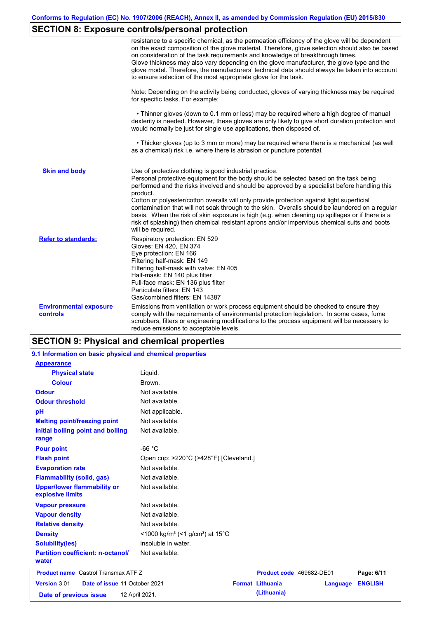# **SECTION 8: Exposure controls/personal protection**

|                                                  | resistance to a specific chemical, as the permeation efficiency of the glove will be dependent<br>on the exact composition of the glove material. Therefore, glove selection should also be based<br>on consideration of the task requirements and knowledge of breakthrough times.<br>Glove thickness may also vary depending on the glove manufacturer, the glove type and the<br>glove model. Therefore, the manufacturers' technical data should always be taken into account<br>to ensure selection of the most appropriate glove for the task.                                                                                                                                  |
|--------------------------------------------------|---------------------------------------------------------------------------------------------------------------------------------------------------------------------------------------------------------------------------------------------------------------------------------------------------------------------------------------------------------------------------------------------------------------------------------------------------------------------------------------------------------------------------------------------------------------------------------------------------------------------------------------------------------------------------------------|
|                                                  | Note: Depending on the activity being conducted, gloves of varying thickness may be required<br>for specific tasks. For example:                                                                                                                                                                                                                                                                                                                                                                                                                                                                                                                                                      |
|                                                  | • Thinner gloves (down to 0.1 mm or less) may be required where a high degree of manual<br>dexterity is needed. However, these gloves are only likely to give short duration protection and<br>would normally be just for single use applications, then disposed of.                                                                                                                                                                                                                                                                                                                                                                                                                  |
|                                                  | • Thicker gloves (up to 3 mm or more) may be required where there is a mechanical (as well<br>as a chemical) risk i.e. where there is abrasion or puncture potential.                                                                                                                                                                                                                                                                                                                                                                                                                                                                                                                 |
| <b>Skin and body</b>                             | Use of protective clothing is good industrial practice.<br>Personal protective equipment for the body should be selected based on the task being<br>performed and the risks involved and should be approved by a specialist before handling this<br>product.<br>Cotton or polyester/cotton overalls will only provide protection against light superficial<br>contamination that will not soak through to the skin. Overalls should be laundered on a regular<br>basis. When the risk of skin exposure is high (e.g. when cleaning up spillages or if there is a<br>risk of splashing) then chemical resistant aprons and/or impervious chemical suits and boots<br>will be required. |
| <b>Refer to standards:</b>                       | Respiratory protection: EN 529<br>Gloves: EN 420, EN 374<br>Eye protection: EN 166<br>Filtering half-mask: EN 149<br>Filtering half-mask with valve: EN 405<br>Half-mask: EN 140 plus filter<br>Full-face mask: EN 136 plus filter<br>Particulate filters: EN 143<br>Gas/combined filters: EN 14387                                                                                                                                                                                                                                                                                                                                                                                   |
| <b>Environmental exposure</b><br><b>controls</b> | Emissions from ventilation or work process equipment should be checked to ensure they<br>comply with the requirements of environmental protection legislation. In some cases, fume<br>scrubbers, filters or engineering modifications to the process equipment will be necessary to<br>reduce emissions to acceptable levels.                                                                                                                                                                                                                                                                                                                                                         |

# **SECTION 9: Physical and chemical properties**

| 9.1 Information on basic physical and chemical properties |                                                         |                                        |  |
|-----------------------------------------------------------|---------------------------------------------------------|----------------------------------------|--|
| <b>Appearance</b>                                         |                                                         |                                        |  |
| <b>Physical state</b>                                     | Liquid.                                                 |                                        |  |
| <b>Colour</b>                                             | Brown.                                                  |                                        |  |
| <b>Odour</b>                                              | Not available.                                          |                                        |  |
| <b>Odour threshold</b>                                    | Not available.                                          |                                        |  |
| pH                                                        | Not applicable.                                         |                                        |  |
| <b>Melting point/freezing point</b>                       | Not available.                                          |                                        |  |
| Initial boiling point and boiling<br>range                | Not available.                                          |                                        |  |
| <b>Pour point</b>                                         | $-66 °C$                                                |                                        |  |
| <b>Flash point</b>                                        | Open cup: >220°C (>428°F) [Cleveland.]                  |                                        |  |
| <b>Evaporation rate</b>                                   | Not available.                                          |                                        |  |
| <b>Flammability (solid, gas)</b>                          | Not available.                                          |                                        |  |
| <b>Upper/lower flammability or</b><br>explosive limits    | Not available.                                          |                                        |  |
| <b>Vapour pressure</b>                                    | Not available.                                          |                                        |  |
| <b>Vapour density</b>                                     | Not available.                                          |                                        |  |
| <b>Relative density</b>                                   | Not available.                                          |                                        |  |
| <b>Density</b>                                            | <1000 kg/m <sup>3</sup> (<1 g/cm <sup>3</sup> ) at 15°C |                                        |  |
| <b>Solubility(ies)</b>                                    | insoluble in water.                                     |                                        |  |
| <b>Partition coefficient: n-octanol/</b><br>water         | Not available.                                          |                                        |  |
| <b>Product name</b> Castrol Transmax ATF Z                |                                                         | Product code 469682-DE01<br>Page: 6/11 |  |
| Version 3.01<br>Date of issue 11 October 2021             | <b>Format Lithuania</b>                                 | <b>ENGLISH</b><br>Language             |  |
| Date of previous issue                                    | 12 April 2021.                                          | (Lithuania)                            |  |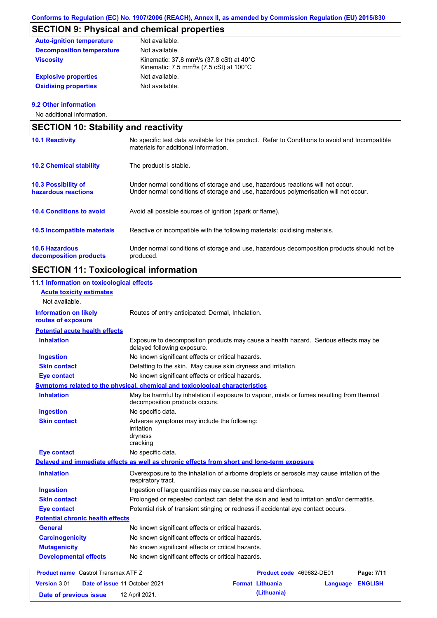# **SECTION 9: Physical and chemical properties**

| <b>Auto-ignition temperature</b> | Not available.                                                                                                                               |
|----------------------------------|----------------------------------------------------------------------------------------------------------------------------------------------|
| <b>Decomposition temperature</b> | Not available.                                                                                                                               |
| Viscosity                        | Kinematic: 37.8 mm <sup>2</sup> /s (37.8 cSt) at $40^{\circ}$ C<br>Kinematic: 7.5 mm <sup>2</sup> /s $(7.5 \text{ cSt})$ at 100 $^{\circ}$ C |
| <b>Explosive properties</b>      | Not available.                                                                                                                               |
| <b>Oxidising properties</b>      | Not available.                                                                                                                               |

#### **9.2 Other information**

No additional information.

| <b>SECTION 10: Stability and reactivity</b>       |                                                                                                                                                                         |  |
|---------------------------------------------------|-------------------------------------------------------------------------------------------------------------------------------------------------------------------------|--|
| <b>10.1 Reactivity</b>                            | No specific test data available for this product. Refer to Conditions to avoid and Incompatible<br>materials for additional information.                                |  |
| <b>10.2 Chemical stability</b>                    | The product is stable.                                                                                                                                                  |  |
| <b>10.3 Possibility of</b><br>hazardous reactions | Under normal conditions of storage and use, hazardous reactions will not occur.<br>Under normal conditions of storage and use, hazardous polymerisation will not occur. |  |
| <b>10.4 Conditions to avoid</b>                   | Avoid all possible sources of ignition (spark or flame).                                                                                                                |  |
| 10.5 Incompatible materials                       | Reactive or incompatible with the following materials: oxidising materials.                                                                                             |  |
| <b>10.6 Hazardous</b><br>decomposition products   | Under normal conditions of storage and use, hazardous decomposition products should not be<br>produced.                                                                 |  |

# **SECTION 11: Toxicological information**

| 11.1 Information on toxicological effects          |                                                                                                                             |
|----------------------------------------------------|-----------------------------------------------------------------------------------------------------------------------------|
| <b>Acute toxicity estimates</b><br>Not available.  |                                                                                                                             |
| <b>Information on likely</b><br>routes of exposure | Routes of entry anticipated: Dermal, Inhalation.                                                                            |
| <b>Potential acute health effects</b>              |                                                                                                                             |
| <b>Inhalation</b>                                  | Exposure to decomposition products may cause a health hazard. Serious effects may be<br>delayed following exposure.         |
| Ingestion                                          | No known significant effects or critical hazards.                                                                           |
| <b>Skin contact</b>                                | Defatting to the skin. May cause skin dryness and irritation.                                                               |
| <b>Eye contact</b>                                 | No known significant effects or critical hazards.                                                                           |
|                                                    | Symptoms related to the physical, chemical and toxicological characteristics                                                |
| <b>Inhalation</b>                                  | May be harmful by inhalation if exposure to vapour, mists or fumes resulting from thermal<br>decomposition products occurs. |
| <b>Ingestion</b>                                   | No specific data.                                                                                                           |
| <b>Skin contact</b>                                | Adverse symptoms may include the following:<br>irritation<br>dryness<br>cracking                                            |
| <b>Eye contact</b>                                 | No specific data.                                                                                                           |
|                                                    | Delayed and immediate effects as well as chronic effects from short and long-term exposure                                  |
| <b>Inhalation</b>                                  | Overexposure to the inhalation of airborne droplets or aerosols may cause irritation of the<br>respiratory tract.           |
| <b>Ingestion</b>                                   | Ingestion of large quantities may cause nausea and diarrhoea.                                                               |
| <b>Skin contact</b>                                | Prolonged or repeated contact can defat the skin and lead to irritation and/or dermatitis.                                  |
| <b>Eye contact</b>                                 | Potential risk of transient stinging or redness if accidental eye contact occurs.                                           |
| <b>Potential chronic health effects</b>            |                                                                                                                             |
| <b>General</b>                                     | No known significant effects or critical hazards.                                                                           |
| <b>Carcinogenicity</b>                             | No known significant effects or critical hazards.                                                                           |
| <b>Mutagenicity</b>                                | No known significant effects or critical hazards.                                                                           |
| <b>Developmental effects</b>                       | No known significant effects or critical hazards.                                                                           |
| <b>Product name</b> Castrol Transmax ATF Z         | Product code 469682-DE01<br>Page: 7/11                                                                                      |
| <b>Version 3.01</b>                                | Date of issue 11 October 2021<br><b>Format Lithuania</b><br><b>ENGLISH</b><br>Language                                      |

**Date of previous issue (Lithuania)** 12 April 2021.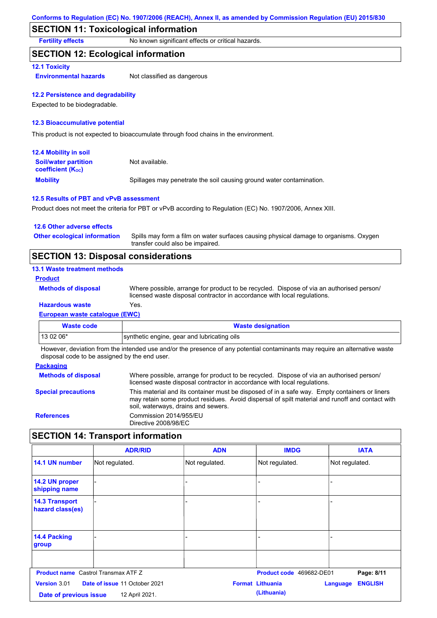# **SECTION 11: Toxicological information**

**Fertility effects** No known significant effects or critical hazards.

### **SECTION 12: Ecological information**

#### **12.1 Toxicity**

**Environmental hazards** Not classified as dangerous

#### **12.2 Persistence and degradability**

Expected to be biodegradable.

#### **12.3 Bioaccumulative potential**

This product is not expected to bioaccumulate through food chains in the environment.

| <b>12.4 Mobility in soil</b>                                  |                                                                      |
|---------------------------------------------------------------|----------------------------------------------------------------------|
| <b>Soil/water partition</b><br>coefficient (K <sub>oc</sub> ) | Not available.                                                       |
| <b>Mobility</b>                                               | Spillages may penetrate the soil causing ground water contamination. |

#### **12.5 Results of PBT and vPvB assessment**

Product does not meet the criteria for PBT or vPvB according to Regulation (EC) No. 1907/2006, Annex XIII.

| 12.6 Other adverse effects          |                                                                                                                           |
|-------------------------------------|---------------------------------------------------------------------------------------------------------------------------|
| <b>Other ecological information</b> | Spills may form a film on water surfaces causing physical damage to organisms. Oxygen<br>transfer could also be impaired. |
|                                     |                                                                                                                           |

# **SECTION 13: Disposal considerations**

### **13.1 Waste treatment methods**

**Product**

```
Methods of disposal
```
**Hazardous waste** Yes. Where possible, arrange for product to be recycled. Dispose of via an authorised person/ licensed waste disposal contractor in accordance with local regulations.

## **European waste catalogue (EWC)**

| Waste code | <b>Waste designation</b>                    |
|------------|---------------------------------------------|
| $130206*$  | synthetic engine, gear and lubricating oils |

However, deviation from the intended use and/or the presence of any potential contaminants may require an alternative waste disposal code to be assigned by the end user.

#### **Packaging**

| <b>Methods of disposal</b> | Where possible, arrange for product to be recycled. Dispose of via an authorised person/<br>licensed waste disposal contractor in accordance with local regulations.                                                                    |
|----------------------------|-----------------------------------------------------------------------------------------------------------------------------------------------------------------------------------------------------------------------------------------|
| <b>Special precautions</b> | This material and its container must be disposed of in a safe way. Empty containers or liners<br>may retain some product residues. Avoid dispersal of spilt material and runoff and contact with<br>soil, waterways, drains and sewers. |
| <b>References</b>          | Commission 2014/955/EU<br>Directive 2008/98/EC                                                                                                                                                                                          |

## **SECTION 14: Transport information**

|                                            | <b>ADR/RID</b>                                  | <b>ADN</b>     | <b>IMDG</b>                            | <b>IATA</b>                |
|--------------------------------------------|-------------------------------------------------|----------------|----------------------------------------|----------------------------|
| 14.1 UN number                             | Not regulated.                                  | Not regulated. | Not regulated.                         | Not regulated.             |
| 14.2 UN proper<br>shipping name            |                                                 | ۳              |                                        |                            |
| <b>14.3 Transport</b><br>hazard class(es)  |                                                 | -              | $\overline{\phantom{0}}$               |                            |
| 14.4 Packing<br>group                      |                                                 |                |                                        |                            |
| <b>Product name</b> Castrol Transmax ATF Z |                                                 |                | Product code 469682-DE01               | Page: 8/11                 |
| Version 3.01<br>Date of previous issue     | Date of issue 11 October 2021<br>12 April 2021. |                | <b>Format Lithuania</b><br>(Lithuania) | <b>ENGLISH</b><br>Language |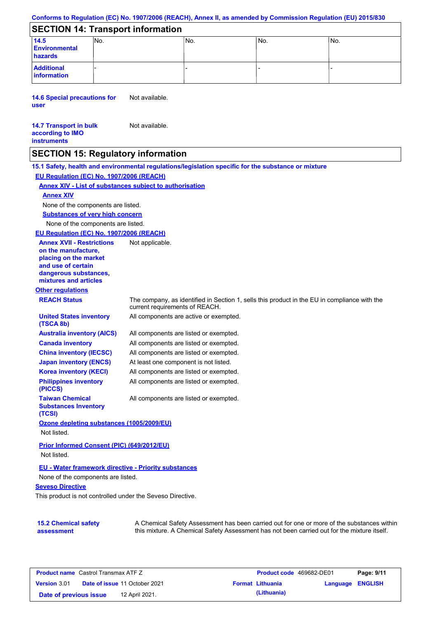#### **Conforms to Regulation (EC) No. 1907/2006 (REACH), Annex II, as amended by Commission Regulation (EU) 2015/830**

# **SECTION 14: Transport information**

| 14.5<br><b>Environmental</b><br>hazards | INO. | INo. | IN <sub>o</sub> | No. |
|-----------------------------------------|------|------|-----------------|-----|
| <b>Additional</b><br>information        |      | -    |                 |     |

**14.6 Special precautions for user** Not available.

#### **14.7 Transport in bulk according to IMO instruments** Not available.

## **SECTION 15: Regulatory information**

**Other regulations REACH Status** The company, as identified in Section 1, sells this product in the EU in compliance with the current requirements of REACH. **15.1 Safety, health and environmental regulations/legislation specific for the substance or mixture EU Regulation (EC) No. 1907/2006 (REACH) Annex XIV - List of substances subject to authorisation Substances of very high concern** None of the components are listed. All components are listed or exempted. All components are listed or exempted. All components are listed or exempted. At least one component is not listed. All components are active or exempted. All components are listed or exempted. All components are listed or exempted. **United States inventory (TSCA 8b) Australia inventory (AICS) Canada inventory China inventory (IECSC) Japan inventory (ENCS) Korea inventory (KECI) Philippines inventory (PICCS) Taiwan Chemical Substances Inventory (TCSI)** All components are listed or exempted. **Ozone depleting substances (1005/2009/EU)** Not listed. **Prior Informed Consent (PIC) (649/2012/EU)** Not listed. **Seveso Directive** None of the components are listed. **Annex XIV EU - Water framework directive - Priority substances** None of the components are listed. **EU Regulation (EC) No. 1907/2006 (REACH) Annex XVII - Restrictions on the manufacture, placing on the market and use of certain dangerous substances, mixtures and articles** Not applicable.

This product is not controlled under the Seveso Directive.

| <b>15.2 Chemical safety</b> | A Chemical Safety Assessment has been carried out for one or more of the substances within  |
|-----------------------------|---------------------------------------------------------------------------------------------|
| assessment                  | this mixture. A Chemical Safety Assessment has not been carried out for the mixture itself. |

| <b>Product name</b> Castrol Transmax ATF Z |  |                                      | <b>Product code</b> 469682-DE01 |                         | Page: 9/11              |  |
|--------------------------------------------|--|--------------------------------------|---------------------------------|-------------------------|-------------------------|--|
| <b>Version</b> 3.01                        |  | <b>Date of issue 11 October 2021</b> |                                 | <b>Format Lithuania</b> | <b>Language ENGLISH</b> |  |
| Date of previous issue                     |  | 12 April 2021.                       |                                 | (Lithuania)             |                         |  |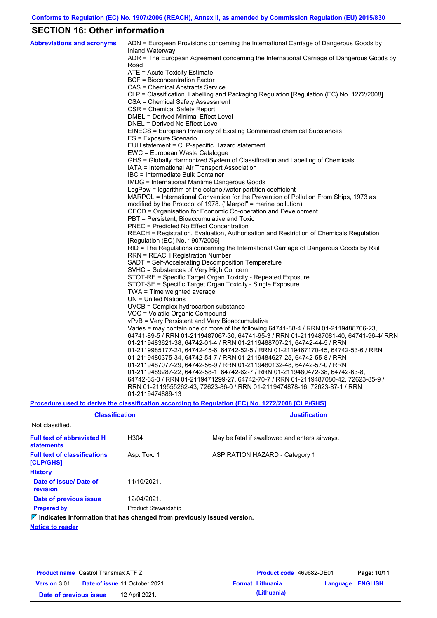# **SECTION 16: Other information**

| <b>Abbreviations and acronyms</b> | ADN = European Provisions concerning the International Carriage of Dangerous Goods by<br>Inland Waterway                  |
|-----------------------------------|---------------------------------------------------------------------------------------------------------------------------|
|                                   | ADR = The European Agreement concerning the International Carriage of Dangerous Goods by<br>Road                          |
|                                   | ATE = Acute Toxicity Estimate                                                                                             |
|                                   | BCF = Bioconcentration Factor                                                                                             |
|                                   | CAS = Chemical Abstracts Service                                                                                          |
|                                   | CLP = Classification, Labelling and Packaging Regulation [Regulation (EC) No. 1272/2008]                                  |
|                                   | CSA = Chemical Safety Assessment                                                                                          |
|                                   | CSR = Chemical Safety Report                                                                                              |
|                                   | DMEL = Derived Minimal Effect Level                                                                                       |
|                                   | DNEL = Derived No Effect Level                                                                                            |
|                                   | EINECS = European Inventory of Existing Commercial chemical Substances                                                    |
|                                   | ES = Exposure Scenario                                                                                                    |
|                                   | EUH statement = CLP-specific Hazard statement                                                                             |
|                                   | EWC = European Waste Catalogue                                                                                            |
|                                   | GHS = Globally Harmonized System of Classification and Labelling of Chemicals                                             |
|                                   | IATA = International Air Transport Association                                                                            |
|                                   | IBC = Intermediate Bulk Container                                                                                         |
|                                   | IMDG = International Maritime Dangerous Goods                                                                             |
|                                   | LogPow = logarithm of the octanol/water partition coefficient                                                             |
|                                   | MARPOL = International Convention for the Prevention of Pollution From Ships, 1973 as                                     |
|                                   | modified by the Protocol of 1978. ("Marpol" = marine pollution)                                                           |
|                                   | OECD = Organisation for Economic Co-operation and Development                                                             |
|                                   | PBT = Persistent, Bioaccumulative and Toxic                                                                               |
|                                   | <b>PNEC = Predicted No Effect Concentration</b>                                                                           |
|                                   | REACH = Registration, Evaluation, Authorisation and Restriction of Chemicals Regulation                                   |
|                                   | [Regulation (EC) No. 1907/2006]<br>RID = The Regulations concerning the International Carriage of Dangerous Goods by Rail |
|                                   | RRN = REACH Registration Number                                                                                           |
|                                   | SADT = Self-Accelerating Decomposition Temperature                                                                        |
|                                   | SVHC = Substances of Very High Concern                                                                                    |
|                                   | STOT-RE = Specific Target Organ Toxicity - Repeated Exposure                                                              |
|                                   | STOT-SE = Specific Target Organ Toxicity - Single Exposure                                                                |
|                                   | TWA = Time weighted average                                                                                               |
|                                   | $UN = United Nations$                                                                                                     |
|                                   | $UVCB = Complex\;hydrocarbon\; substance$                                                                                 |
|                                   | VOC = Volatile Organic Compound                                                                                           |
|                                   | vPvB = Very Persistent and Very Bioaccumulative                                                                           |
|                                   | Varies = may contain one or more of the following 64741-88-4 / RRN 01-2119488706-23,                                      |
|                                   | 64741-89-5 / RRN 01-2119487067-30, 64741-95-3 / RRN 01-2119487081-40, 64741-96-4/ RRN                                     |
|                                   | 01-2119483621-38, 64742-01-4 / RRN 01-2119488707-21, 64742-44-5 / RRN                                                     |
|                                   | 01-2119985177-24, 64742-45-6, 64742-52-5 / RRN 01-2119467170-45, 64742-53-6 / RRN                                         |
|                                   | 01-2119480375-34, 64742-54-7 / RRN 01-2119484627-25, 64742-55-8 / RRN                                                     |
|                                   | 01-2119487077-29, 64742-56-9 / RRN 01-2119480132-48, 64742-57-0 / RRN                                                     |
|                                   | 01-2119489287-22, 64742-58-1, 64742-62-7 / RRN 01-2119480472-38, 64742-63-8,                                              |
|                                   | 64742-65-0 / RRN 01-2119471299-27, 64742-70-7 / RRN 01-2119487080-42, 72623-85-9 /                                        |
|                                   | RRN 01-2119555262-43, 72623-86-0 / RRN 01-2119474878-16, 72623-87-1 / RRN                                                 |
|                                   | 01-2119474889-13                                                                                                          |

**Procedure used to derive the classification according to Regulation (EC) No. 1272/2008 [CLP/GHS]**

| <b>Classification</b>                                                           |                            | <b>Justification</b> |                                               |  |  |
|---------------------------------------------------------------------------------|----------------------------|----------------------|-----------------------------------------------|--|--|
| Not classified.                                                                 |                            |                      |                                               |  |  |
| <b>Full text of abbreviated H</b><br><b>statements</b>                          | H <sub>304</sub>           |                      | May be fatal if swallowed and enters airways. |  |  |
| <b>Full text of classifications</b><br><b>[CLP/GHS]</b>                         | Asp. Tox. 1                |                      | <b>ASPIRATION HAZARD - Category 1</b>         |  |  |
| <b>History</b>                                                                  |                            |                      |                                               |  |  |
| Date of issue/ Date of<br>revision                                              | 11/10/2021.                |                      |                                               |  |  |
| Date of previous issue                                                          | 12/04/2021.                |                      |                                               |  |  |
| <b>Prepared by</b>                                                              | <b>Product Stewardship</b> |                      |                                               |  |  |
| $\nabla$ Indicates information that has changed from previously issued version. |                            |                      |                                               |  |  |

**Notice to reader**

| <b>Product name</b> Castrol Transmax ATF Z |  |                                      | <b>Product code</b> 469682-DE01 |                         | Page: 10/11      |  |
|--------------------------------------------|--|--------------------------------------|---------------------------------|-------------------------|------------------|--|
| Version 3.01                               |  | <b>Date of issue 11 October 2021</b> |                                 | <b>Format Lithuania</b> | Language ENGLISH |  |
| Date of previous issue                     |  | 12 April 2021.                       |                                 | (Lithuania)             |                  |  |